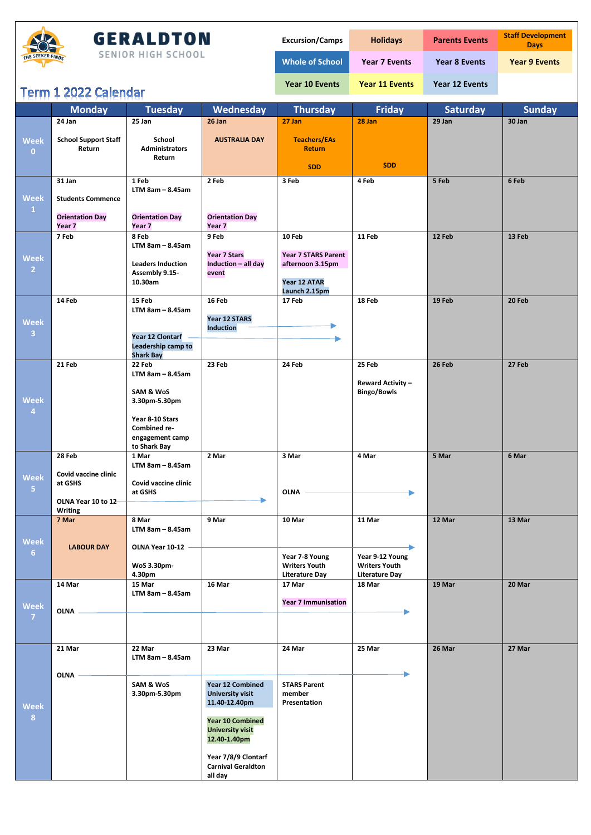

## **GERALDTON**

SENIOR HIGH SCHOOL

| <b>Excursion/Camps</b> | <b>Holidays</b>       | <b>Parents Events</b> | <b>Staff Development</b><br><b>Days</b> |
|------------------------|-----------------------|-----------------------|-----------------------------------------|
| <b>Whole of School</b> | <b>Year 7 Events</b>  | <b>Year 8 Events</b>  | <b>Year 9 Events</b>                    |
| <b>Year 10 Events</b>  | <b>Year 11 Events</b> | Year 12 Events        |                                         |

## Term 1 2022 Calendar

|                                | TALIII T SASS CAIGHNAI                      |                                             |                                             |                                      |                          |                 |               |
|--------------------------------|---------------------------------------------|---------------------------------------------|---------------------------------------------|--------------------------------------|--------------------------|-----------------|---------------|
|                                | <b>Monday</b>                               | <b>Tuesday</b>                              | Wednesday                                   | <b>Thursday</b>                      | <b>Friday</b>            | <b>Saturday</b> | <b>Sunday</b> |
|                                | 24 Jan                                      | 25 Jan                                      | 26 Jan                                      | 27 Jan                               | 28 Jan                   | 29 Jan          | 30 Jan        |
| <b>Week</b>                    | <b>School Support Staff</b><br>Return       | School<br><b>Administrators</b>             | <b>AUSTRALIA DAY</b>                        | <b>Teachers/EAs</b><br><b>Return</b> |                          |                 |               |
| $\mathbf{0}$                   |                                             | Return                                      |                                             | <b>SDD</b>                           | <b>SDD</b>               |                 |               |
|                                | 31 Jan                                      | 1 Feb                                       | 2 Feb                                       | 3 Feb                                | 4 Feb                    | 5 Feb           | 6 Feb         |
| <b>Week</b><br>$\vert 1 \vert$ | <b>Students Commence</b>                    | $LTM$ 8am - 8.45am                          |                                             |                                      |                          |                 |               |
|                                | <b>Orientation Day</b><br>Year <sub>7</sub> | <b>Orientation Day</b><br>Year <sub>7</sub> | <b>Orientation Day</b><br>Year <sub>7</sub> |                                      |                          |                 |               |
|                                | 7 Feb                                       | 8 Feb                                       | 9 Feb                                       | 10 Feb                               | 11 Feb                   | 12 Feb          | 13 Feb        |
|                                |                                             | $LTM$ 8am - 8.45am                          | <b>Year 7 Stars</b>                         | <b>Year 7 STARS Parent</b>           |                          |                 |               |
| <b>Week</b>                    |                                             | <b>Leaders Induction</b>                    | Induction - all day                         | afternoon 3.15pm                     |                          |                 |               |
| 2 <sup>1</sup>                 |                                             | Assembly 9.15-                              | event                                       |                                      |                          |                 |               |
|                                |                                             | 10.30am                                     |                                             | Year 12 ATAR                         |                          |                 |               |
|                                | 14 Feb                                      | 15 Feb                                      | 16 Feb                                      | Launch 2.15pm<br>17 Feb              | 18 Feb                   | 19 Feb          | 20 Feb        |
|                                |                                             | $LTM$ 8am - 8.45am                          |                                             |                                      |                          |                 |               |
| <b>Week</b>                    |                                             |                                             | Year 12 STARS                               |                                      |                          |                 |               |
| $\overline{\mathbf{3}}$        |                                             | <b>Year 12 Clontarf</b>                     | <b>Induction</b>                            |                                      |                          |                 |               |
|                                |                                             | Leadership camp to                          |                                             |                                      |                          |                 |               |
|                                |                                             | <b>Shark Bay</b>                            |                                             |                                      |                          |                 |               |
|                                | 21 Feb                                      | 22 Feb<br>$LTM$ 8am - 8.45am                | 23 Feb                                      | 24 Feb                               | 25 Feb                   | 26 Feb          | 27 Feb        |
|                                |                                             |                                             |                                             |                                      | <b>Reward Activity -</b> |                 |               |
|                                |                                             | SAM & WoS                                   |                                             |                                      | <b>Bingo/Bowls</b>       |                 |               |
| <b>Week</b><br>$\overline{4}$  |                                             | 3.30pm-5.30pm                               |                                             |                                      |                          |                 |               |
|                                |                                             | Year 8-10 Stars                             |                                             |                                      |                          |                 |               |
|                                |                                             | Combined re-                                |                                             |                                      |                          |                 |               |
|                                |                                             | engagement camp<br>to Shark Bay             |                                             |                                      |                          |                 |               |
|                                | 28 Feb                                      | 1 Mar                                       | 2 Mar                                       | 3 Mar                                | 4 Mar                    | 5 Mar           | 6 Mar         |
|                                |                                             | $LTM$ 8am - 8.45am                          |                                             |                                      |                          |                 |               |
| <b>Week</b>                    | Covid vaccine clinic<br>at GSHS             | Covid vaccine clinic                        |                                             |                                      |                          |                 |               |
| 5 <sup>7</sup>                 |                                             | at GSHS                                     |                                             | <b>OLNA</b>                          |                          |                 |               |
|                                | OLNA Year 10 to 12                          |                                             |                                             |                                      |                          |                 |               |
|                                | <b>Writing</b><br>7 Mar                     | 8 Mar                                       | 9 Mar                                       | 10 Mar                               | 11 Mar                   | 12 Mar          | 13 Mar        |
|                                |                                             | $LTM$ 8am - 8.45am                          |                                             |                                      |                          |                 |               |
| <b>Week</b>                    |                                             |                                             |                                             |                                      |                          |                 |               |
| 6 <sup>1</sup>                 | <b>LABOUR DAY</b>                           | OLNA Year 10-12                             |                                             | Year 7-8 Young                       | Year 9-12 Young          |                 |               |
|                                |                                             | WoS 3.30pm-                                 |                                             | <b>Writers Youth</b>                 | <b>Writers Youth</b>     |                 |               |
|                                |                                             | 4.30pm                                      |                                             | <b>Literature Day</b>                | <b>Literature Day</b>    |                 |               |
|                                | 14 Mar                                      | 15 Mar<br>$LTM$ 8am - 8.45am                | 16 Mar                                      | 17 Mar                               | 18 Mar                   | 19 Mar          | 20 Mar        |
| <b>Week</b>                    |                                             |                                             |                                             | <b>Year 7 Immunisation</b>           |                          |                 |               |
| $\overline{7}$                 | <b>OLNA</b>                                 |                                             |                                             |                                      |                          |                 |               |
|                                |                                             |                                             |                                             |                                      |                          |                 |               |
|                                |                                             |                                             |                                             |                                      |                          |                 |               |
|                                | 21 Mar                                      | 22 Mar                                      | 23 Mar                                      | 24 Mar                               | 25 Mar                   | 26 Mar          | 27 Mar        |
|                                |                                             | $LTM$ 8am - 8.45am                          |                                             |                                      |                          |                 |               |
|                                | <b>OLNA</b>                                 |                                             |                                             |                                      |                          |                 |               |
|                                |                                             | SAM & WoS                                   | Year 12 Combined                            | <b>STARS Parent</b>                  |                          |                 |               |
|                                |                                             | 3.30pm-5.30pm                               | <b>University visit</b><br>11.40-12.40pm    | member<br>Presentation               |                          |                 |               |
| <b>Week</b><br>8               |                                             |                                             |                                             |                                      |                          |                 |               |
|                                |                                             |                                             | <b>Year 10 Combined</b>                     |                                      |                          |                 |               |
|                                |                                             |                                             | <b>University visit</b><br>12.40-1.40pm     |                                      |                          |                 |               |
|                                |                                             |                                             |                                             |                                      |                          |                 |               |
|                                |                                             |                                             | Year 7/8/9 Clontarf                         |                                      |                          |                 |               |
|                                |                                             |                                             | <b>Carnival Geraldton</b><br>all day        |                                      |                          |                 |               |
|                                |                                             |                                             |                                             |                                      |                          |                 |               |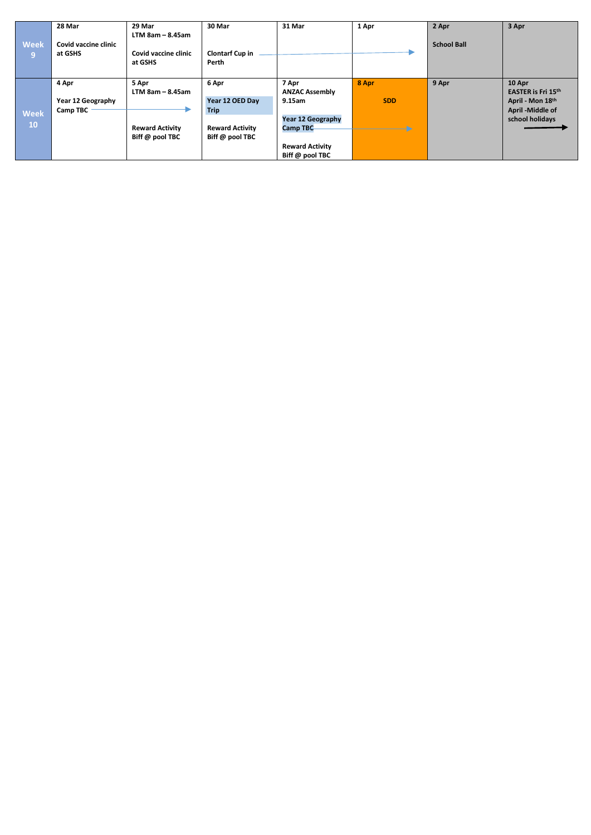|                               | 28 Mar                          | 29 Mar                                                | 30 Mar                                                   | 31 Mar                                      | 1 Apr               | 2 Apr              | 3 Apr                                                   |
|-------------------------------|---------------------------------|-------------------------------------------------------|----------------------------------------------------------|---------------------------------------------|---------------------|--------------------|---------------------------------------------------------|
| <b>Week</b><br>$\overline{9}$ | Covid vaccine clinic<br>at GSHS | $LTM$ 8am - 8.45am<br>Covid vaccine clinic<br>at GSHS | <b>Clontarf Cup in</b><br>Perth                          |                                             |                     | <b>School Ball</b> |                                                         |
|                               | 4 Apr<br>Year 12 Geography      | 5 Apr<br>$LTM$ 8am - 8.45am                           | 6 Apr<br>Year 12 OED Day                                 | 7 Apr<br><b>ANZAC Assembly</b><br>9.15am    | 8 Apr<br><b>SDD</b> | 9 Apr              | 10 Apr<br><b>EASTER is Fri 15th</b><br>April - Mon 18th |
| <b>Week</b><br><b>10</b>      | Camp TBC                        | <b>Reward Activity</b><br>Biff @ pool TBC             | <b>Trip</b><br><b>Reward Activity</b><br>Biff @ pool TBC | <b>Year 12 Geography</b><br><b>Camp TBC</b> | Ð                   |                    | April -Middle of<br>school holidays                     |
|                               |                                 |                                                       |                                                          | <b>Reward Activity</b><br>Biff @ pool TBC   |                     |                    |                                                         |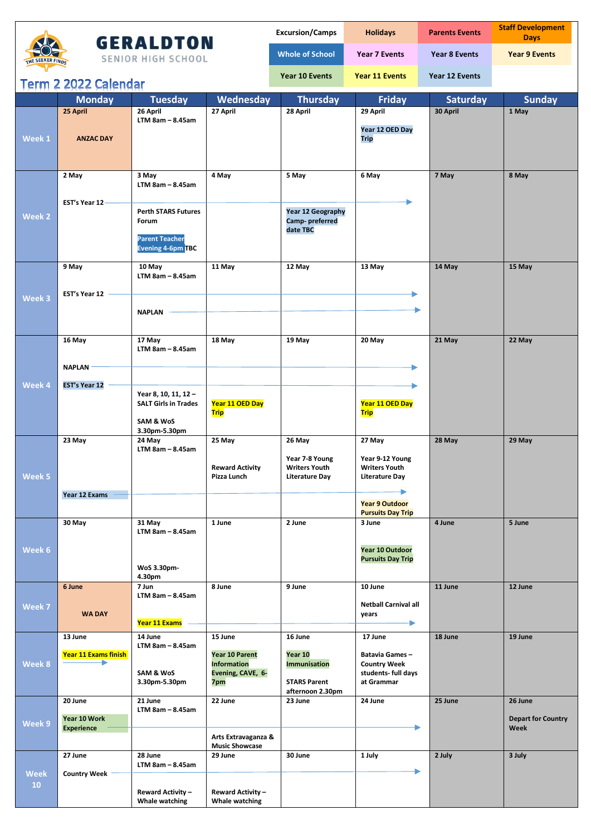|                  |                                   |                                                    |                                             | <b>Excursion/Camps</b>                  | <b>Holidays</b>                              | <b>Parents Events</b> | <b>Staff Development</b><br><b>Days</b> |
|------------------|-----------------------------------|----------------------------------------------------|---------------------------------------------|-----------------------------------------|----------------------------------------------|-----------------------|-----------------------------------------|
| THE SEEKER FINDS |                                   | <b>GERALDTON</b><br><b>SENIOR HIGH SCHOOL</b>      |                                             | <b>Whole of School</b>                  | <b>Year 7 Events</b>                         | <b>Year 8 Events</b>  | <b>Year 9 Events</b>                    |
|                  | Term 2 2022 Calendar              |                                                    |                                             | Year 10 Events                          | <b>Year 11 Events</b>                        | Year 12 Events        |                                         |
|                  | <b>Monday</b>                     | <b>Tuesday</b>                                     | Wednesday                                   | <b>Thursday</b>                         | <b>Friday</b>                                | <b>Saturday</b>       | <b>Sunday</b>                           |
|                  | 25 April                          | 26 April                                           | 27 April                                    | 28 April                                | 29 April                                     | 30 April              | 1 May                                   |
|                  |                                   | $LTM$ 8am $-$ 8.45am                               |                                             |                                         |                                              |                       |                                         |
| Week 1           | <b>ANZAC DAY</b>                  |                                                    |                                             |                                         | Year 12 OED Day<br><b>Trip</b>               |                       |                                         |
|                  |                                   |                                                    |                                             |                                         |                                              |                       |                                         |
|                  |                                   |                                                    |                                             |                                         |                                              |                       |                                         |
|                  | 2 May                             | 3 May                                              | 4 May                                       | 5 May                                   | 6 May                                        | 7 May                 | 8 May                                   |
|                  |                                   | $LTM$ 8am $-$ 8.45am                               |                                             |                                         |                                              |                       |                                         |
|                  |                                   |                                                    |                                             |                                         |                                              |                       |                                         |
|                  | EST's Year 12-                    | <b>Perth STARS Futures</b>                         |                                             | <b>Year 12 Geography</b>                |                                              |                       |                                         |
| Week 2           |                                   | Forum                                              |                                             | Camp-preferred                          |                                              |                       |                                         |
|                  |                                   | <b>Parent Teacher</b>                              |                                             | date TBC                                |                                              |                       |                                         |
|                  |                                   | <b>Evening 4-6pm TBC</b>                           |                                             |                                         |                                              |                       |                                         |
|                  |                                   |                                                    |                                             |                                         |                                              |                       |                                         |
|                  | 9 May                             | 10 May<br>$LTM$ 8am $-$ 8.45am                     | 11 May                                      | 12 May                                  | 13 May                                       | 14 May                | 15 May                                  |
|                  |                                   |                                                    |                                             |                                         |                                              |                       |                                         |
| Week 3           | EST's Year 12                     |                                                    |                                             |                                         |                                              |                       |                                         |
|                  |                                   | <b>NAPLAN</b>                                      |                                             |                                         |                                              |                       |                                         |
|                  |                                   |                                                    |                                             |                                         |                                              |                       |                                         |
|                  | 16 May                            | 17 May                                             | 18 May                                      | 19 May                                  | 20 May                                       | 21 May                | 22 May                                  |
|                  |                                   | $LTM$ 8am $-$ 8.45am                               |                                             |                                         |                                              |                       |                                         |
|                  | <b>NAPLAN</b>                     |                                                    |                                             |                                         |                                              |                       |                                         |
|                  |                                   |                                                    |                                             |                                         |                                              |                       |                                         |
| Week 4           | <b>EST's Year 12</b>              |                                                    |                                             |                                         |                                              |                       |                                         |
|                  |                                   | Year 8, 10, 11, 12-<br><b>SALT Girls in Trades</b> | Year 11 OED Day                             |                                         | Year 11 OED Day                              |                       |                                         |
|                  |                                   |                                                    | <b>Trip</b>                                 |                                         | <b>Trip</b>                                  |                       |                                         |
|                  |                                   | SAM & WoS<br>3.30pm-5.30pm                         |                                             |                                         |                                              |                       |                                         |
|                  | 23 May                            | 24 May                                             | 25 May                                      | 26 May                                  | 27 May                                       | 28 May                | 29 May                                  |
|                  |                                   | $LTM$ 8am - 8.45am                                 |                                             |                                         |                                              |                       |                                         |
|                  |                                   |                                                    | <b>Reward Activity</b>                      | Year 7-8 Young<br>writers Youth         | Year 9-12 Young<br>Writers Youth             |                       |                                         |
| Week 5           |                                   |                                                    | Pizza Lunch                                 | <b>Literature Day</b>                   | Literature Day                               |                       |                                         |
|                  | Year 12 Exams                     |                                                    |                                             |                                         |                                              |                       |                                         |
|                  |                                   |                                                    |                                             |                                         | <b>Year 9 Outdoor</b>                        |                       |                                         |
|                  | 30 May                            | 31 May                                             | 1 June                                      | 2 June                                  | <b>Pursuits Day Trip</b><br>3 June           | 4 June                | 5 June                                  |
|                  |                                   | $LTM$ 8am $-$ 8.45am                               |                                             |                                         |                                              |                       |                                         |
|                  |                                   |                                                    |                                             |                                         |                                              |                       |                                         |
| Week 6           |                                   |                                                    |                                             |                                         | Year 10 Outdoor<br><b>Pursuits Day Trip</b>  |                       |                                         |
|                  |                                   | WoS 3.30pm-                                        |                                             |                                         |                                              |                       |                                         |
|                  | 6 June                            | 4.30pm<br>7 Jun                                    | 8 June                                      | 9 June                                  | 10 June                                      | 11 June               | 12 June                                 |
|                  |                                   | $LTM$ 8am $-$ 8.45am                               |                                             |                                         |                                              |                       |                                         |
| Week 7           | <b>WA DAY</b>                     |                                                    |                                             |                                         | <b>Netball Carnival all</b>                  |                       |                                         |
|                  |                                   | Year 11 Exams                                      |                                             |                                         | years                                        |                       |                                         |
|                  | 13 June                           | 14 June                                            | 15 June                                     | 16 June                                 | 17 June                                      | 18 June               | 19 June                                 |
|                  |                                   | $LTM$ 8am $-$ 8.45am                               |                                             |                                         |                                              |                       |                                         |
| Week 8           | <b>Year 11 Exams finish</b><br>▸  |                                                    | <b>Year 10 Parent</b><br><b>Information</b> | Year 10<br><b>Immunisation</b>          | <b>Batavia Games-</b><br><b>Country Week</b> |                       |                                         |
|                  |                                   | SAM & WoS                                          | Evening, CAVE, 6-                           |                                         | students- full days                          |                       |                                         |
|                  |                                   | 3.30pm-5.30pm                                      | 7pm                                         | <b>STARS Parent</b><br>afternoon 2.30pm | at Grammar                                   |                       |                                         |
|                  | 20 June                           | 21 June                                            | 22 June                                     | 23 June                                 | 24 June                                      | 25 June               | 26 June                                 |
|                  |                                   | $LTM$ 8am $-$ 8.45am                               |                                             |                                         |                                              |                       |                                         |
| Week 9           | Year 10 Work<br><b>Experience</b> |                                                    |                                             |                                         |                                              |                       | <b>Depart for Country</b><br>Week       |
|                  |                                   |                                                    | Arts Extravaganza &                         |                                         |                                              |                       |                                         |
|                  | 27 June                           | 28 June                                            | <b>Music Showcase</b><br>29 June            | 30 June                                 |                                              | 2 July                | 3 July                                  |
|                  |                                   | $LTM$ 8am $-$ 8.45am                               |                                             |                                         | 1 July                                       |                       |                                         |
| <b>Week</b>      | <b>Country Week</b>               |                                                    |                                             |                                         |                                              |                       |                                         |
| 10               |                                   | <b>Reward Activity -</b>                           | <b>Reward Activity -</b>                    |                                         |                                              |                       |                                         |
|                  |                                   | Whale watching                                     | Whale watching                              |                                         |                                              |                       |                                         |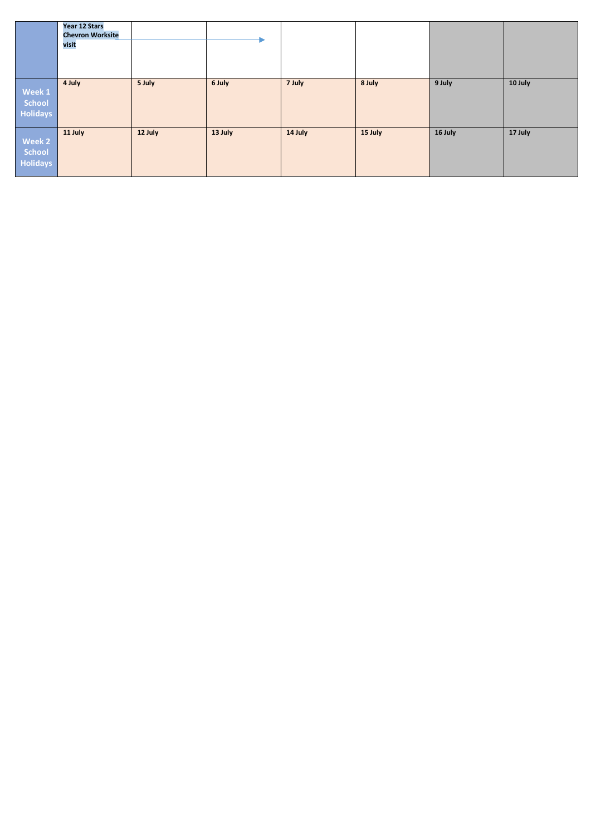|                                     | Year 12 Stars<br><b>Chevron Worksite</b> |         |         |         |         |         |         |
|-------------------------------------|------------------------------------------|---------|---------|---------|---------|---------|---------|
|                                     | visit                                    |         |         |         |         |         |         |
|                                     |                                          |         |         |         |         |         |         |
| Week 1<br>School<br><b>Holidays</b> | 4 July                                   | 5 July  | 6 July  | 7 July  | 8 July  | 9 July  | 10 July |
| Week 2<br>School<br><b>Holidays</b> | 11 July                                  | 12 July | 13 July | 14 July | 15 July | 16 July | 17 July |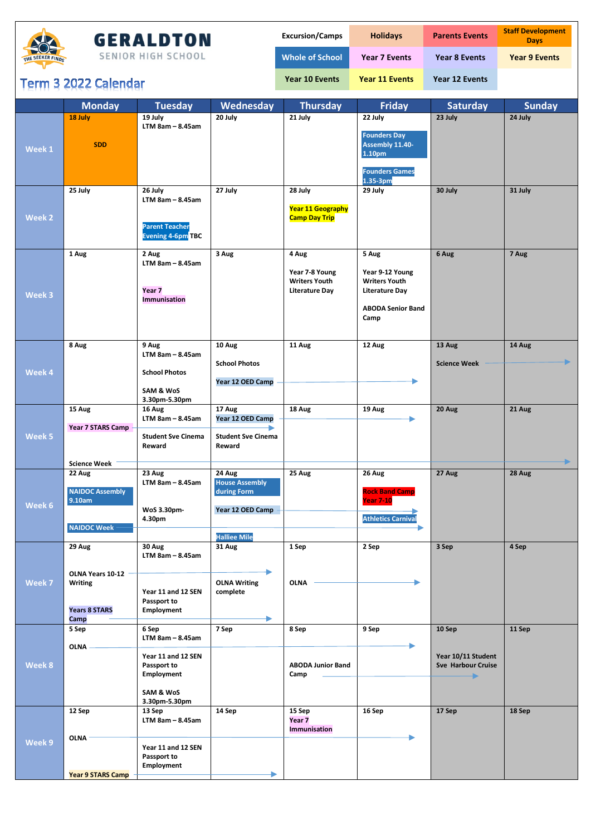

## **GERALDTON**

SENIOR HIGH SCHOOL

| <b>Excursion/Camps</b> | <b>Holidays</b>       | <b>Parents Events</b> | <b>Staff Development</b><br><b>Davs</b> |
|------------------------|-----------------------|-----------------------|-----------------------------------------|
| <b>Whole of School</b> | <b>Year 7 Events</b>  | <b>Year 8 Events</b>  | <b>Year 9 Events</b>                    |
| Year 10 Events         | <b>Year 11 Events</b> | <b>Year 12 Events</b> |                                         |
|                        |                       |                       |                                         |
| <b>Thursday</b>        | <b>Friday</b>         | <b>Saturday</b>       | <b>Sunday</b>                           |

## Term 3 2022 Calendar

|        | <b>Monday</b>                              | <b>Tuesday</b>                                                 | Wednesday                                      | <b>Thursday</b>                                                 | <b>Friday</b>                                                                                | <b>Saturday</b>                                      | <b>Sunday</b> |
|--------|--------------------------------------------|----------------------------------------------------------------|------------------------------------------------|-----------------------------------------------------------------|----------------------------------------------------------------------------------------------|------------------------------------------------------|---------------|
|        | 18 July<br><b>SDD</b>                      | 19 July<br>$LTM$ 8am - 8.45am                                  | 20 July                                        | 21 July                                                         | 22 July<br><b>Founders Day</b><br>Assembly 11.40-                                            | 23 July                                              | 24 July       |
| Week 1 |                                            |                                                                |                                                |                                                                 | 1.10 <sub>pm</sub><br><b>Founders Games</b><br>1.35-3pm                                      |                                                      |               |
| Week 2 | 25 July                                    | 26 July<br>$LTM$ 8am - 8.45am<br><b>Parent Teacher</b>         | 27 July                                        | 28 July<br>Year 11 Geography<br><b>Camp Day Trip</b>            | 29 July                                                                                      | 30 July                                              | 31 July       |
|        | 1 Aug                                      | <b>Evening 4-6pm TBC</b><br>2 Aug                              | 3 Aug                                          | 4 Aug                                                           | 5 Aug                                                                                        | 6 Aug                                                | 7 Aug         |
| Week 3 |                                            | $LTM$ 8am - 8.45am<br>Year <sub>7</sub><br><b>Immunisation</b> |                                                | Year 7-8 Young<br><b>Writers Youth</b><br><b>Literature Day</b> | Year 9-12 Young<br><b>Writers Youth</b><br><b>Literature Day</b><br><b>ABODA Senior Band</b> |                                                      |               |
|        |                                            |                                                                |                                                |                                                                 | Camp                                                                                         |                                                      |               |
|        | 8 Aug                                      | 9 Aug<br>$LTM$ 8am - 8.45am                                    | 10 Aug<br><b>School Photos</b>                 | 11 Aug                                                          | 12 Aug                                                                                       | 13 Aug<br><b>Science Week</b>                        | 14 Aug        |
| Week 4 |                                            | <b>School Photos</b><br>SAM & WoS<br>3.30pm-5.30pm             | Year 12 OED Camp                               |                                                                 |                                                                                              |                                                      |               |
|        | 15 Aug                                     | 16 Aug<br>$LTM$ 8am - 8.45am                                   | 17 Aug<br>Year 12 OED Camp                     | 18 Aug                                                          | 19 Aug                                                                                       | 20 Aug                                               | 21 Aug        |
| Week 5 | <b>Year 7 STARS Camp</b>                   | <b>Student Sve Cinema</b><br>Reward                            | <b>Student Sve Cinema</b><br>Reward            |                                                                 |                                                                                              |                                                      |               |
|        | <b>Science Week</b>                        |                                                                |                                                |                                                                 |                                                                                              |                                                      |               |
| Week 6 | 22 Aug<br><b>NAIDOC Assembly</b><br>9.10am | 23 Aug<br>$LTM$ 8am - 8.45am                                   | 24 Aug<br><b>House Assembly</b><br>during Form | 25 Aug                                                          | 26 Aug<br><b>Rock Band Camp</b><br><b>Year 7-10</b>                                          | 27 Aug                                               | 28 Aug        |
|        | <b>NAIDOC Week</b>                         | WoS 3.30pm-<br>4.30pm                                          | Year 12 OED Camp                               |                                                                 | <b>Athletics Carnival</b>                                                                    |                                                      |               |
|        |                                            |                                                                | <b>Halliee Mile</b>                            |                                                                 |                                                                                              |                                                      |               |
|        | 29 Aug                                     | 30 Aug<br>$LTM$ 8am - 8.45am                                   | 31 Aug                                         | 1 Sep                                                           | 2 Sep                                                                                        | 3 Sep                                                | 4 Sep         |
| Week 7 | OLNA Years 10-12 -<br>Writing              | Year 11 and 12 SEN<br>Passport to                              | ▶<br><b>OLNA Writing</b><br>complete           | <b>OLNA</b>                                                     |                                                                                              |                                                      |               |
|        | <b>Years 8 STARS</b><br>Camp               | Employment                                                     |                                                |                                                                 |                                                                                              |                                                      |               |
|        | 5 Sep                                      | 6 Sep<br>$LTM$ 8am - 8.45am                                    | 7 Sep                                          | 8 Sep                                                           | 9 Sep                                                                                        | 10 Sep                                               | 11 Sep        |
| Week 8 | <b>OLNA</b>                                | Year 11 and 12 SEN<br>Passport to<br>Employment                |                                                | <b>ABODA Junior Band</b><br>Camp                                |                                                                                              | Year 10/11 Student<br><b>Sve Harbour Cruise</b><br>۰ |               |
|        |                                            | SAM & WoS<br>3.30pm-5.30pm                                     |                                                |                                                                 |                                                                                              |                                                      |               |
|        | 12 Sep                                     | 13 Sep<br>$LTM$ 8am - 8.45am                                   | 14 Sep                                         | 15 Sep<br>Year <sub>7</sub><br>Immunisation                     | 16 Sep                                                                                       | 17 Sep                                               | 18 Sep        |
| Week 9 | <b>OLNA</b>                                | Year 11 and 12 SEN<br>Passport to<br>Employment                |                                                |                                                                 |                                                                                              |                                                      |               |
|        | <b>Year 9 STARS Camp</b>                   |                                                                |                                                |                                                                 |                                                                                              |                                                      |               |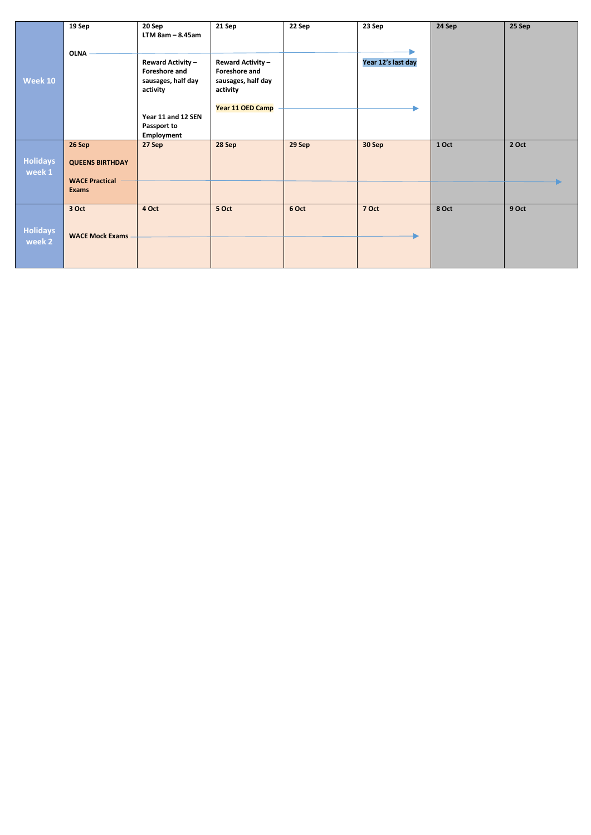|                           | 19 Sep                                | 20 Sep<br>$LTM$ 8am - 8.45am                                                | 21 Sep                                                                                          | 22 Sep | 23 Sep             | 24 Sep | 25 Sep |
|---------------------------|---------------------------------------|-----------------------------------------------------------------------------|-------------------------------------------------------------------------------------------------|--------|--------------------|--------|--------|
| <b>Week 10</b>            | OLNA -                                | <b>Reward Activity -</b><br>Foreshore and<br>sausages, half day<br>activity | <b>Reward Activity -</b><br>Foreshore and<br>sausages, half day<br>activity<br>Year 11 OED Camp |        | Year 12's last day |        |        |
|                           |                                       | Year 11 and 12 SEN<br>Passport to<br>Employment                             |                                                                                                 |        |                    |        |        |
| <b>Holidays</b><br>week 1 | 26 Sep<br><b>QUEENS BIRTHDAY</b>      | 27 Sep                                                                      | 28 Sep                                                                                          | 29 Sep | 30 Sep             | 1 Oct  | 2 Oct  |
|                           | <b>WACE Practical</b><br><b>Exams</b> |                                                                             |                                                                                                 |        |                    |        |        |
| <b>Holidays</b>           | 3 Oct<br><b>WACE Mock Exams</b>       | 4 Oct                                                                       | 5 Oct                                                                                           | 6 Oct  | 7 Oct              | 8 Oct  | 9 Oct  |
| week 2                    |                                       |                                                                             |                                                                                                 |        |                    |        |        |